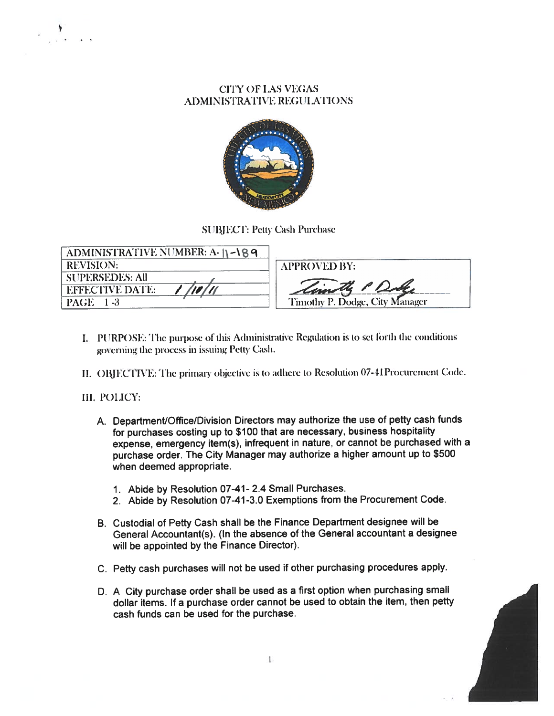## **CITY OF LAS VEGAS ADMINISTRATIVE REGULATIONS**



### **SUBJECT: Petty Cash Purchase**

| ADMINISTRATIVE NUMBER: A-  \ -\ 8 9 |                                |
|-------------------------------------|--------------------------------|
| <b>REVISION:</b>                    | <b>APPROVED BY:</b>            |
| <b>SUPERSEDES: All</b>              |                                |
| /10/11<br><b>EFFECTIVE DATE:</b>    | Timothy P. Dobe                |
| <b>PAGE</b> 1-3                     | Timothy P. Dodge, City Manager |

- I. PURPOSE: The purpose of this Administrative Regulation is to set forth the conditions governing the process in issuing Petty Cash.
- II. OBJECTIVE: The primary objective is to adhere to Resolution 07-41Procurement Code.

#### III. POLICY:

- A. Department/Office/Division Directors may authorize the use of petty cash funds for purchases costing up to \$100 that are necessary, business hospitality expense, emergency item(s), infrequent in nature, or cannot be purchased with a purchase order. The City Manager may authorize a higher amount up to \$500 when deemed appropriate.
	- 1. Abide by Resolution 07-41-2.4 Small Purchases.
	- 2. Abide by Resolution 07-41-3.0 Exemptions from the Procurement Code.
- B. Custodial of Petty Cash shall be the Finance Department designee will be General Accountant(s). (In the absence of the General accountant a designee will be appointed by the Finance Director).
- C. Petty cash purchases will not be used if other purchasing procedures apply.
- D. A City purchase order shall be used as a first option when purchasing small dollar items. If a purchase order cannot be used to obtain the item, then petty cash funds can be used for the purchase.

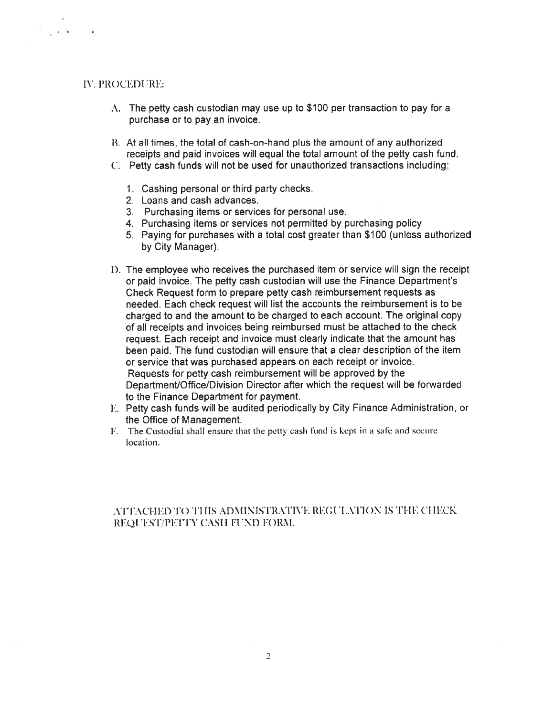### **IV. PROCEDURE:**

 $\alpha_{\rm max}$  in the  $\alpha_{\rm max}$ 

- $\Lambda$ . The petty cash custodian may use up to \$100 per transaction to pay for a purchase or to pay an invoice.
- B. At all times, the total of cash-on-hand plus the amount of any authorized receipts and paid invoices will equal the total amount of the petty cash fund.
- C. Petty cash funds will not be used for unauthorized transactions including:
	- 1. Cashing personal or third party checks.
	- 2. Loans and cash advances.
	- 3. Purchasing items or services for personal use.
	- 4. Purchasing items or services not permitted by purchasing policy
	- 5. Paying for purchases with a total cost greater than \$100 (unless authorized by City Manager).
- D. The employee who receives the purchased item or service will sign the receipt or paid invoice. The petty cash custodian will use the Finance Department's Check Request form to prepare petty cash reimbursement requests as needed. Each check request will list the accounts the reimbursement is to be charged to and the amount to be charged to each account. The original copy of all receipts and invoices being reimbursed must be attached to the check request. Each receipt and invoice must clearly indicate that the amount has been paid. The fund custodian will ensure that a clear description of the item or service that was purchased appears on each receipt or invoice. Requests for petty cash reimbursement will be approved by the Department/Office/Division Director after which the request will be forwarded to the Finance Department for payment.
- E. Petty cash funds will be audited periodically by City Finance Administration, or the Office of Management.
- F. The Custodial shall ensure that the petty cash fund is kept in a safe and secure location.

## ATTACHED TO THIS ADMINISTRATIVE REGULATION IS THE CHECK REQUEST/PETTY CASH FUND FORM.